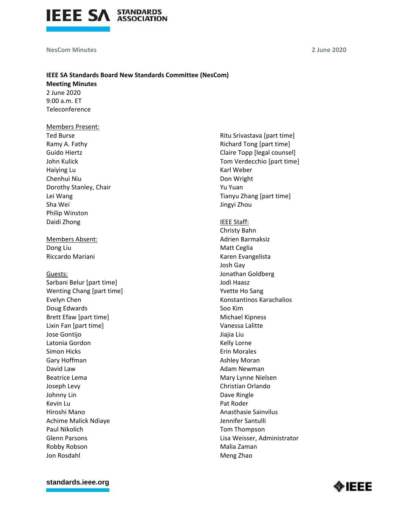

#### **NesCom Minutes**

**2 June 2020**

# **IEEE SA Standards Board New Standards Committee (NesCom)**

**Meeting Minutes** 2 June 2020 9:00 a.m. ET Teleconference

#### Members Present:

Ted Burse Ramy A. Fathy Guido Hiertz John Kulick Haiying Lu Chenhui Niu Dorothy Stanley, Chair Lei Wang Sha Wei Philip Winston Daidi Zhong

Members Absent: Dong Liu Riccardo Mariani

### Guests:

Sarbani Belur [part time] Wenting Chang [part time] Evelyn Chen Doug Edwards Brett Efaw [part time] Lixin Fan [part time] Jose Gontijo Latonia Gordon Simon Hicks Gary Hoffman David Law Beatrice Lema Joseph Levy Johnny Lin Kevin Lu Hiroshi Mano Achime Malick Ndiaye Paul Nikolich Glenn Parsons Robby Robson Jon Rosdahl

Ritu Srivastava [part time] Richard Tong [part time] Claire Topp [legal counsel] Tom Verdecchio [part time] Karl Weber Don Wright Yu Yuan Tianyu Zhang [part time] Jingyi Zhou

IEEE Staff:

Christy Bahn Adrien Barmaksiz Matt Ceglia Karen Evangelista Josh Gay Jonathan Goldberg Jodi Haasz Yvette Ho Sang Konstantinos Karachalios Soo Kim Michael Kipness Vanessa Lalitte Jiajia Liu Kelly Lorne Erin Morales Ashley Moran Adam Newman Mary Lynne Nielsen Christian Orlando Dave Ringle Pat Roder Anasthasie Sainvilus Jennifer Santulli Tom Thompson Lisa Weisser, Administrator Malia Zaman Meng Zhao

#### **[standards.ieee.org](http://standards.ieee.org/)**

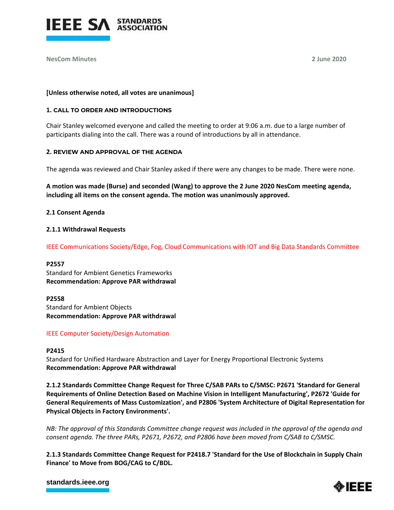

**NesCom Minutes 2 June 2020**

### **[Unless otherwise noted, all votes are unanimous]**

### **1. CALL TO ORDER AND INTRODUCTIONS**

Chair Stanley welcomed everyone and called the meeting to order at 9:06 a.m. due to a large number of participants dialing into the call. There was a round of introductions by all in attendance.

### **2. REVIEW AND APPROVAL OF THE AGENDA**

The agenda was reviewed and Chair Stanley asked if there were any changes to be made. There were none.

**A motion was made (Burse) and seconded (Wang) to approve the 2 June 2020 NesCom meeting agenda, including all items on the consent agenda. The motion was unanimously approved.**

### **2.1 Consent Agenda**

### **2.1.1 Withdrawal Requests**

IEEE Communications Society/Edge, Fog, Cloud Communications with IOT and Big Data Standards Committee

**P2557** Standard for Ambient Genetics Frameworks **Recommendation: Approve PAR withdrawal**

**P2558** Standard for Ambient Objects **Recommendation: Approve PAR withdrawal**

# IEEE Computer Society/Design Automation

### **P2415**

Standard for Unified Hardware Abstraction and Layer for Energy Proportional Electronic Systems **Recommendation: Approve PAR withdrawal**

**2.1.2 Standards Committee Change Request for Three C/SAB PARs to C/SMSC: P2671 'Standard for General Requirements of Online Detection Based on Machine Vision in Intelligent Manufacturing', P2672 'Guide for General Requirements of Mass Customization', and P2806 'System Architecture of Digital Representation for Physical Objects in Factory Environments'.**

*NB: The approval of this Standards Committee change request was included in the approval of the agenda and consent agenda. The three PARs, P2671, P2672, and P2806 have been moved from C/SAB to C/SMSC.*

**2.1.3 Standards Committee Change Request for P2418.7 'Standard for the Use of Blockchain in Supply Chain Finance' to Move from BOG/CAG to C/BDL.**

### **[standards.ieee.org](http://standards.ieee.org/)**

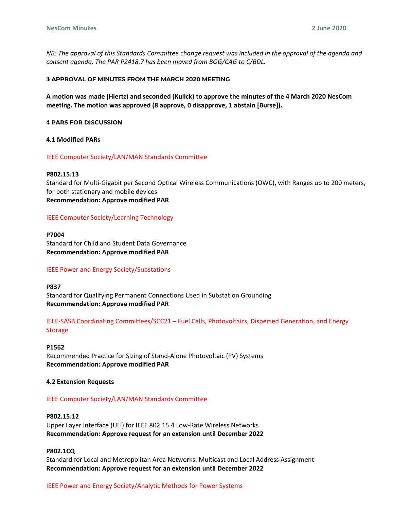*NB: The approval of this Standards Committee change request was included in the approval of the agenda and consent agenda. The PAR P2418.7 has been moved from BOG/CAG to C/BDL.*

#### **3 APPROVAL OF MINUTES FROM THE MARCH 2020 MEETING**

**A motion was made (Hiertz) and seconded (Kulick) to approve the minutes of the 4 March 2020 NesCom meeting. The motion was approved (8 approve, 0 disapprove, 1 abstain [Burse]).**

#### **4 PARS FOR DISCUSSION**

### **4.1 Modified PARs**

#### IEEE Computer Society/LAN/MAN Standards Committee

#### **P802.15.13**

Standard for Multi-Gigabit per Second Optical Wireless Communications (OWC), with Ranges up to 200 meters, for both stationary and mobile devices **Recommendation: Approve modified PAR**

### IEEE Computer Society/Learning Technology

**P7004** Standard for Child and Student Data Governance **Recommendation: Approve modified PAR**

### IEEE Power and Energy Society/Substations

**P837**

Standard for Qualifying Permanent Connections Used in Substation Grounding **Recommendation: Approve modified PAR**

IEEE-SASB Coordinating Committees/SCC21 – Fuel Cells, Photovoltaics, Dispersed Generation, and Energy Storage

#### **P1562**

Recommended Practice for Sizing of Stand-Alone Photovoltaic (PV) Systems **Recommendation: Approve modified PAR**

### **4.2 Extension Requests**

### IEEE Computer Society/LAN/MAN Standards Committee

#### **P802.15.12**

Upper Layer Interface (ULI) for IEEE 802.15.4 Low-Rate Wireless Networks **Recommendation: Approve request for an extension until December 2022**

### **P802.1CQ**

Standard for Local and Metropolitan Area Networks: Multicast and Local Address Assignment **Recommendation: Approve request for an extension until December 2022**

### IEEE Power and Energy Society/Analytic Methods for Power Systems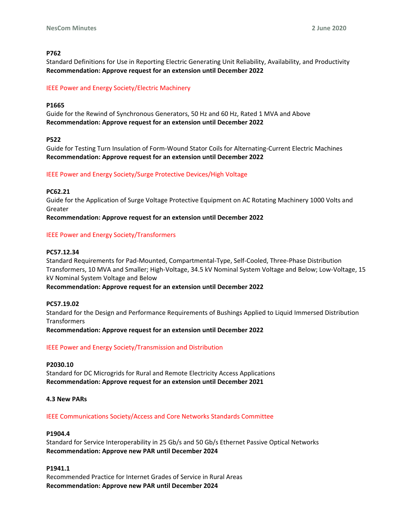# **P762**

Standard Definitions for Use in Reporting Electric Generating Unit Reliability, Availability, and Productivity **Recommendation: Approve request for an extension until December 2022**

# IEEE Power and Energy Society/Electric Machinery

### **P1665**

Guide for the Rewind of Synchronous Generators, 50 Hz and 60 Hz, Rated 1 MVA and Above **Recommendation: Approve request for an extension until December 2022**

### **P522**

Guide for Testing Turn Insulation of Form-Wound Stator Coils for Alternating-Current Electric Machines **Recommendation: Approve request for an extension until December 2022**

### IEEE Power and Energy Society/Surge Protective Devices/High Voltage

### **PC62.21**

Guide for the Application of Surge Voltage Protective Equipment on AC Rotating Machinery 1000 Volts and Greater

**Recommendation: Approve request for an extension until December 2022**

### IEEE Power and Energy Society/Transformers

# **PC57.12.34**

Standard Requirements for Pad-Mounted, Compartmental-Type, Self-Cooled, Three-Phase Distribution Transformers, 10 MVA and Smaller; High-Voltage, 34.5 kV Nominal System Voltage and Below; Low-Voltage, 15 kV Nominal System Voltage and Below

**Recommendation: Approve request for an extension until December 2022**

# **PC57.19.02**

Standard for the Design and Performance Requirements of Bushings Applied to Liquid Immersed Distribution **Transformers** 

**Recommendation: Approve request for an extension until December 2022**

# IEEE Power and Energy Society/Transmission and Distribution

### **P2030.10**

Standard for DC Microgrids for Rural and Remote Electricity Access Applications **Recommendation: Approve request for an extension until December 2021**

### **4.3 New PARs**

IEEE Communications Society/Access and Core Networks Standards Committee

### **P1904.4**

Standard for Service Interoperability in 25 Gb/s and 50 Gb/s Ethernet Passive Optical Networks **Recommendation: Approve new PAR until December 2024**

### **P1941.1**

Recommended Practice for Internet Grades of Service in Rural Areas **Recommendation: Approve new PAR until December 2024**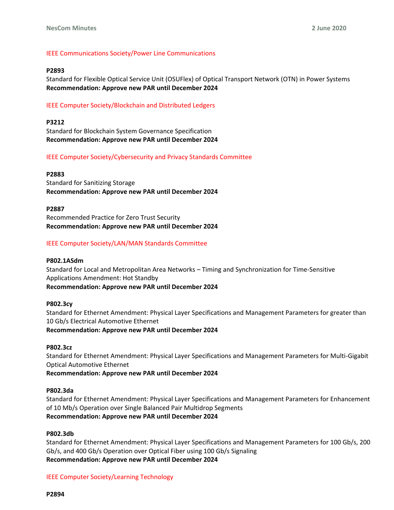# IEEE Communications Society/Power Line Communications

#### **P2893**

Standard for Flexible Optical Service Unit (OSUFlex) of Optical Transport Network (OTN) in Power Systems **Recommendation: Approve new PAR until December 2024**

### IEEE Computer Society/Blockchain and Distributed Ledgers

**P3212** Standard for Blockchain System Governance Specification **Recommendation: Approve new PAR until December 2024**

#### IEEE Computer Society/Cybersecurity and Privacy Standards Committee

#### **P2883**

Standard for Sanitizing Storage **Recommendation: Approve new PAR until December 2024**

#### **P2887**

Recommended Practice for Zero Trust Security **Recommendation: Approve new PAR until December 2024**

### IEEE Computer Society/LAN/MAN Standards Committee

#### **P802.1ASdm**

Standard for Local and Metropolitan Area Networks – Timing and Synchronization for Time-Sensitive Applications Amendment: Hot Standby **Recommendation: Approve new PAR until December 2024**

#### **P802.3cy**

Standard for Ethernet Amendment: Physical Layer Specifications and Management Parameters for greater than 10 Gb/s Electrical Automotive Ethernet **Recommendation: Approve new PAR until December 2024**

#### **P802.3cz**

Standard for Ethernet Amendment: Physical Layer Specifications and Management Parameters for Multi-Gigabit Optical Automotive Ethernet **Recommendation: Approve new PAR until December 2024**

# **P802.3da**

Standard for Ethernet Amendment: Physical Layer Specifications and Management Parameters for Enhancement of 10 Mb/s Operation over Single Balanced Pair Multidrop Segments **Recommendation: Approve new PAR until December 2024**

#### **P802.3db**

Standard for Ethernet Amendment: Physical Layer Specifications and Management Parameters for 100 Gb/s, 200 Gb/s, and 400 Gb/s Operation over Optical Fiber using 100 Gb/s Signaling **Recommendation: Approve new PAR until December 2024**

IEEE Computer Society/Learning Technology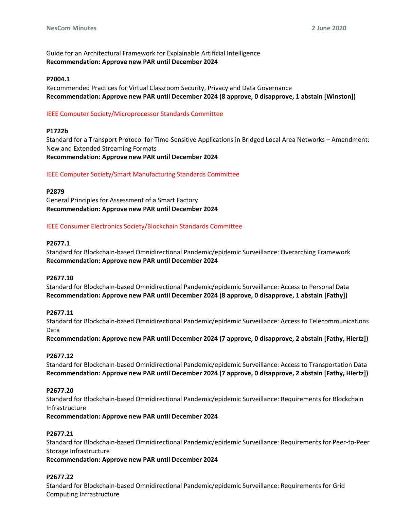Guide for an Architectural Framework for Explainable Artificial Intelligence **Recommendation: Approve new PAR until December 2024**

### **P7004.1**

Recommended Practices for Virtual Classroom Security, Privacy and Data Governance **Recommendation: Approve new PAR until December 2024 (8 approve, 0 disapprove, 1 abstain [Winston])**

# IEEE Computer Society/Microprocessor Standards Committee

### **P1722b**

Standard for a Transport Protocol for Time-Sensitive Applications in Bridged Local Area Networks – Amendment: New and Extended Streaming Formats **Recommendation: Approve new PAR until December 2024**

### IEEE Computer Society/Smart Manufacturing Standards Committee

### **P2879**

General Principles for Assessment of a Smart Factory **Recommendation: Approve new PAR until December 2024**

### IEEE Consumer Electronics Society/Blockchain Standards Committee

### **P2677.1**

Standard for Blockchain-based Omnidirectional Pandemic/epidemic Surveillance: Overarching Framework **Recommendation: Approve new PAR until December 2024**

### **P2677.10**

Standard for Blockchain-based Omnidirectional Pandemic/epidemic Surveillance: Access to Personal Data **Recommendation: Approve new PAR until December 2024 (8 approve, 0 disapprove, 1 abstain [Fathy])**

### **P2677.11**

Standard for Blockchain-based Omnidirectional Pandemic/epidemic Surveillance: Access to Telecommunications Data

**Recommendation: Approve new PAR until December 2024 (7 approve, 0 disapprove, 2 abstain [Fathy, Hiertz])**

### **P2677.12**

Standard for Blockchain-based Omnidirectional Pandemic/epidemic Surveillance: Access to Transportation Data **Recommendation: Approve new PAR until December 2024 (7 approve, 0 disapprove, 2 abstain [Fathy, Hiertz])**

### **P2677.20**

Standard for Blockchain-based Omnidirectional Pandemic/epidemic Surveillance: Requirements for Blockchain Infrastructure

**Recommendation: Approve new PAR until December 2024**

# **P2677.21**

Standard for Blockchain-based Omnidirectional Pandemic/epidemic Surveillance: Requirements for Peer-to-Peer Storage Infrastructure

**Recommendation: Approve new PAR until December 2024**

# **P2677.22**

Standard for Blockchain-based Omnidirectional Pandemic/epidemic Surveillance: Requirements for Grid Computing Infrastructure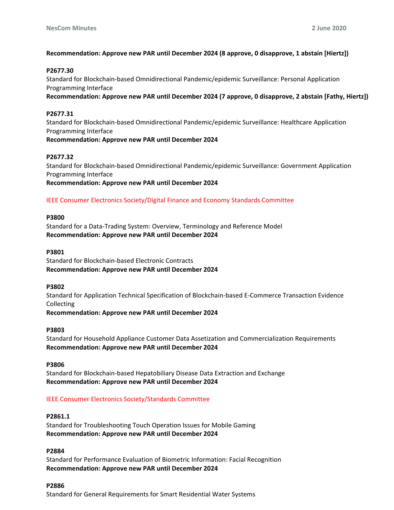# **Recommendation: Approve new PAR until December 2024 (8 approve, 0 disapprove, 1 abstain [Hiertz])**

# **P2677.30**

Standard for Blockchain-based Omnidirectional Pandemic/epidemic Surveillance: Personal Application Programming Interface

**Recommendation: Approve new PAR until December 2024 (7 approve, 0 disapprove, 2 abstain [Fathy, Hiertz])**

# **P2677.31**

Standard for Blockchain-based Omnidirectional Pandemic/epidemic Surveillance: Healthcare Application Programming Interface **Recommendation: Approve new PAR until December 2024**

# **P2677.32**

Standard for Blockchain-based Omnidirectional Pandemic/epidemic Surveillance: Government Application Programming Interface **Recommendation: Approve new PAR until December 2024**

# IEEE Consumer Electronics Society/Digital Finance and Economy Standards Committee

### **P3800**

Standard for a Data-Trading System: Overview, Terminology and Reference Model **Recommendation: Approve new PAR until December 2024**

### **P3801**

Standard for Blockchain-based Electronic Contracts **Recommendation: Approve new PAR until December 2024**

### **P3802**

Standard for Application Technical Specification of Blockchain-based E-Commerce Transaction Evidence Collecting

**Recommendation: Approve new PAR until December 2024**

# **P3803**

Standard for Household Appliance Customer Data Assetization and Commercialization Requirements **Recommendation: Approve new PAR until December 2024**

**P3806**

Standard for Blockchain-based Hepatobiliary Disease Data Extraction and Exchange **Recommendation: Approve new PAR until December 2024**

# IEEE Consumer Electronics Society/Standards Committee

### **P2861.1**

Standard for Troubleshooting Touch Operation Issues for Mobile Gaming **Recommendation: Approve new PAR until December 2024**

# **P2884**

Standard for Performance Evaluation of Biometric Information: Facial Recognition **Recommendation: Approve new PAR until December 2024**

### **P2886**

Standard for General Requirements for Smart Residential Water Systems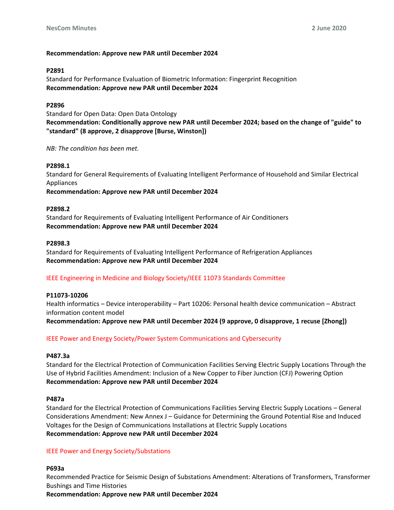# **Recommendation: Approve new PAR until December 2024**

### **P2891**

Standard for Performance Evaluation of Biometric Information: Fingerprint Recognition **Recommendation: Approve new PAR until December 2024**

### **P2896**

Standard for Open Data: Open Data Ontology **Recommendation: Conditionally approve new PAR until December 2024; based on the change of "guide" to "standard" (8 approve, 2 disapprove [Burse, Winston])**

*NB: The condition has been met.*

### **P2898.1**

Standard for General Requirements of Evaluating Intelligent Performance of Household and Similar Electrical Appliances **Recommendation: Approve new PAR until December 2024**

### **P2898.2**

Standard for Requirements of Evaluating Intelligent Performance of Air Conditioners **Recommendation: Approve new PAR until December 2024**

### **P2898.3**

Standard for Requirements of Evaluating Intelligent Performance of Refrigeration Appliances **Recommendation: Approve new PAR until December 2024**

# IEEE Engineering in Medicine and Biology Society/IEEE 11073 Standards Committee

### **P11073-10206**

Health informatics – Device interoperability – Part 10206: Personal health device communication – Abstract information content model **Recommendation: Approve new PAR until December 2024 (9 approve, 0 disapprove, 1 recuse [Zhong])**

IEEE Power and Energy Society/Power System Communications and Cybersecurity

### **P487.3a**

Standard for the Electrical Protection of Communication Facilities Serving Electric Supply Locations Through the Use of Hybrid Facilities Amendment: Inclusion of a New Copper to Fiber Junction (CFJ) Powering Option **Recommendation: Approve new PAR until December 2024**

### **P487a**

Standard for the Electrical Protection of Communications Facilities Serving Electric Supply Locations – General Considerations Amendment: New Annex J – Guidance for Determining the Ground Potential Rise and Induced Voltages for the Design of Communications Installations at Electric Supply Locations **Recommendation: Approve new PAR until December 2024**

### IEEE Power and Energy Society/Substations

# **P693a**

Recommended Practice for Seismic Design of Substations Amendment: Alterations of Transformers, Transformer Bushings and Time Histories

**Recommendation: Approve new PAR until December 2024**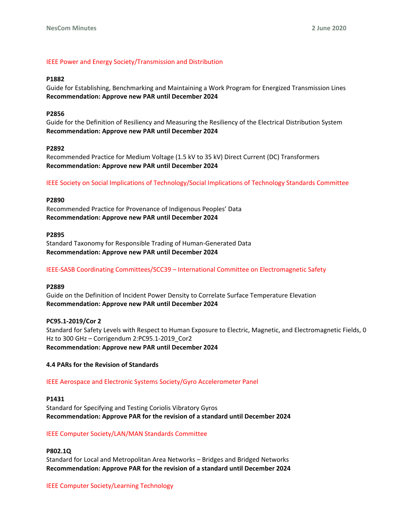### IEEE Power and Energy Society/Transmission and Distribution

#### **P1882**

Guide for Establishing, Benchmarking and Maintaining a Work Program for Energized Transmission Lines **Recommendation: Approve new PAR until December 2024**

#### **P2856**

Guide for the Definition of Resiliency and Measuring the Resiliency of the Electrical Distribution System **Recommendation: Approve new PAR until December 2024**

#### **P2892**

Recommended Practice for Medium Voltage (1.5 kV to 35 kV) Direct Current (DC) Transformers **Recommendation: Approve new PAR until December 2024**

IEEE Society on Social Implications of Technology/Social Implications of Technology Standards Committee

#### **P2890**

Recommended Practice for Provenance of Indigenous Peoples' Data **Recommendation: Approve new PAR until December 2024**

#### **P2895**

Standard Taxonomy for Responsible Trading of Human-Generated Data **Recommendation: Approve new PAR until December 2024**

### IEEE-SASB Coordinating Committees/SCC39 – International Committee on Electromagnetic Safety

#### **P2889**

Guide on the Definition of Incident Power Density to Correlate Surface Temperature Elevation **Recommendation: Approve new PAR until December 2024**

**PC95.1-2019/Cor 2** Standard for Safety Levels with Respect to Human Exposure to Electric, Magnetic, and Electromagnetic Fields, 0 Hz to 300 GHz – Corrigendum 2:PC95.1-2019\_Cor2 **Recommendation: Approve new PAR until December 2024**

#### **4.4 PARs for the Revision of Standards**

### IEEE Aerospace and Electronic Systems Society/Gyro Accelerometer Panel

#### **P1431**

Standard for Specifying and Testing Coriolis Vibratory Gyros **Recommendation: Approve PAR for the revision of a standard until December 2024**

### IEEE Computer Society/LAN/MAN Standards Committee

# **P802.1Q**

Standard for Local and Metropolitan Area Networks – Bridges and Bridged Networks **Recommendation: Approve PAR for the revision of a standard until December 2024**

### IEEE Computer Society/Learning Technology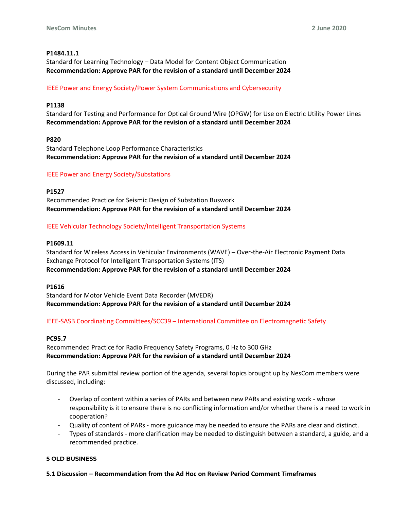# **P1484.11.1**

Standard for Learning Technology – Data Model for Content Object Communication **Recommendation: Approve PAR for the revision of a standard until December 2024**

# IEEE Power and Energy Society/Power System Communications and Cybersecurity

# **P1138**

Standard for Testing and Performance for Optical Ground Wire (OPGW) for Use on Electric Utility Power Lines **Recommendation: Approve PAR for the revision of a standard until December 2024**

### **P820**

Standard Telephone Loop Performance Characteristics **Recommendation: Approve PAR for the revision of a standard until December 2024**

### IEEE Power and Energy Society/Substations

### **P1527**

Recommended Practice for Seismic Design of Substation Buswork **Recommendation: Approve PAR for the revision of a standard until December 2024**

# IEEE Vehicular Technology Society/Intelligent Transportation Systems

### **P1609.11**

Standard for Wireless Access in Vehicular Environments (WAVE) – Over-the-Air Electronic Payment Data Exchange Protocol for Intelligent Transportation Systems (ITS) **Recommendation: Approve PAR for the revision of a standard until December 2024**

### **P1616**

Standard for Motor Vehicle Event Data Recorder (MVEDR) **Recommendation: Approve PAR for the revision of a standard until December 2024**

# IEEE-SASB Coordinating Committees/SCC39 – International Committee on Electromagnetic Safety

### **PC95.7**

Recommended Practice for Radio Frequency Safety Programs, 0 Hz to 300 GHz **Recommendation: Approve PAR for the revision of a standard until December 2024**

During the PAR submittal review portion of the agenda, several topics brought up by NesCom members were discussed, including:

- Overlap of content within a series of PARs and between new PARs and existing work whose responsibility is it to ensure there is no conflicting information and/or whether there is a need to work in cooperation?
- Quality of content of PARs more guidance may be needed to ensure the PARs are clear and distinct.
- Types of standards more clarification may be needed to distinguish between a standard, a guide, and a recommended practice.

### **5 OLD BUSINESS**

**5.1 Discussion – Recommendation from the Ad Hoc on Review Period Comment Timeframes**